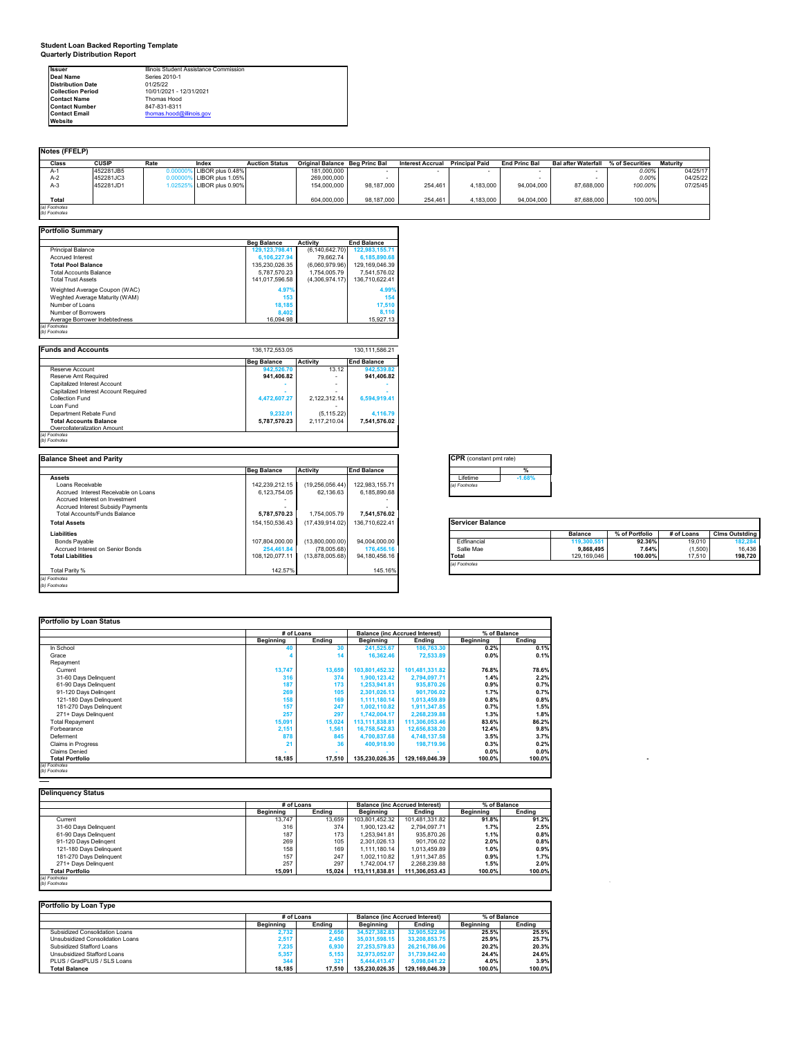**Student Loan Backed Reporting Template Quarterly Distribution Report**

| <b>Issuer</b>            | Illinois Student Assistance Commission |
|--------------------------|----------------------------------------|
| <b>Deal Name</b>         | Series 2010-1                          |
| <b>Distribution Date</b> | 01/25/22                               |
| <b>Collection Period</b> | 10/01/2021 - 12/31/2021                |
| <b>Contact Name</b>      | Thomas Hood                            |
| <b>Contact Number</b>    | 847-831-8311                           |
| <b>Contact Email</b>     | thomas.hood@illinois.gov               |
| Website                  |                                        |

| Notes (FFELP) |              |               |                  |                       |                                       |            |                         |                       |                      |                            |                 |          |
|---------------|--------------|---------------|------------------|-----------------------|---------------------------------------|------------|-------------------------|-----------------------|----------------------|----------------------------|-----------------|----------|
| Class         | <b>CUSIP</b> | Rate          | Index            | <b>Auction Status</b> | <b>Original Balance Beg Princ Bal</b> |            | <b>Interest Accrual</b> | <b>Principal Paid</b> | <b>End Princ Bal</b> | <b>Bal after Waterfall</b> | % of Securities | Maturity |
| A-1           | 452281JB5    | <b>D.OOOO</b> | LIBOR plus 0.48% |                       | 181.000.000                           |            |                         |                       |                      |                            | 0.00%           | 04/25/17 |
| $A-2$         | 452281JC3    |               | LIBOR plus 1.05% |                       | 269,000,000                           |            |                         |                       |                      |                            | 0.00%           | 04/25/22 |
| $A-3$         | 452281JD1    | .0252         | LIBOR plus 0.90% |                       | 154.000.000                           | 98.187.000 | 254.461                 | 4.183.000             | 94.004.000           | 87,688,000                 | 100.00%         | 07/25/45 |
|               |              |               |                  |                       |                                       |            |                         |                       |                      |                            |                 |          |
| Total         |              |               |                  |                       | 604,000,000                           | 98.187.000 | 254,461                 | 4,183,000             | 94,004,000           | 87,688,000                 | 100.00%         |          |
| (a) Footnotes |              |               |                  |                       |                                       |            |                         |                       |                      |                            |                 |          |
| (b) Footnotes |              |               |                  |                       |                                       |            |                         |                       |                      |                            |                 |          |

| <b>Portfolio Summary</b>              |                    |                   |                    |
|---------------------------------------|--------------------|-------------------|--------------------|
|                                       | <b>Beg Balance</b> | <b>Activity</b>   | <b>End Balance</b> |
| <b>Principal Balance</b>              | 129, 123, 798.41   | (6, 140, 642.70)  | 122,983,155.71     |
| <b>Accrued Interest</b>               | 6,106,227.94       | 79,662.74         | 6,185,890.68       |
| <b>Total Pool Balance</b>             | 135,230,026.35     | (6,060,979.96)    | 129,169,046.39     |
| <b>Total Accounts Balance</b>         | 5.787.570.23       | 1.754.005.79      | 7.541.576.02       |
| <b>Total Trust Assets</b>             | 141.017.596.58     | (4,306,974.17)    | 136.710.622.41     |
| Weighted Average Coupon (WAC)         | 4.97%              |                   | 4.99%              |
| Weghted Average Maturity (WAM)        | 153                |                   | 154                |
| Number of Loans                       | 18,185             |                   | 17,510             |
| Number of Borrowers                   | 8.402              |                   | 8,110              |
| Average Borrower Indebtedness         | 16,094.98          |                   | 15.927.13          |
| (a) Footnotes                         |                    |                   |                    |
| (b) Footnotes                         |                    |                   |                    |
|                                       |                    |                   |                    |
| <b>Funds and Accounts</b>             | 136.172.553.05     |                   | 130.111.586.21     |
|                                       | <b>Beg Balance</b> | <b>Activity</b>   | <b>End Balance</b> |
| Reserve Account                       | 942,526.70         | 13.12             | 942,539.82         |
| <b>Reserve Amt Required</b>           | 941,406.82         | ٠                 | 941,406.82         |
| Capitalized Interest Account          |                    | ٠                 |                    |
| Capitalized Interest Account Required |                    | ٠                 |                    |
| Collection Fund                       | 4,472,607.27       | 2,122,312.14      | 6,594,919.41       |
| Loan Fund                             |                    |                   |                    |
| Department Rebate Fund                | 9,232.01           | (5, 115.22)       | 4,116.79           |
| <b>Total Accounts Balance</b>         | 5,787,570.23       | 2,117,210.04      | 7,541,576.02       |
| Overcollateralization Amount          |                    |                   |                    |
| (a) Footnotes                         |                    |                   |                    |
| (b) Footnotes                         |                    |                   |                    |
| <b>Balance Sheet and Parity</b>       |                    |                   |                    |
|                                       |                    |                   |                    |
|                                       | <b>Beg Balance</b> | <b>Activity</b>   | <b>End Balance</b> |
| <b>Assets</b>                         |                    |                   |                    |
| Loans Receivable                      | 142.239.212.15     | (19, 256, 056.44) | 122.983.155.71     |
| Accrued Interest Receivable on Loans  | 6,123,754.05       | 62,136.63         | 6,185,890.68       |
| Accrued Interest on Investment        |                    |                   |                    |
| Accrued Interest Subsidy Payments     |                    |                   |                    |
| <b>Total Accounts/Funds Balance</b>   | 5,787,570.23       | 1.754.005.79      | 7,541,576.02       |
| <b>Total Assets</b>                   | 154, 150, 536.43   | (17, 439, 914.02) | 136,710,622.41     |
| <b>Liabilities</b>                    |                    |                   |                    |
| <b>Bonds Payable</b>                  | 107,804,000.00     | (13,800,000.00)   | 94,004,000.00      |
| Accrued Interest on Senior Bonds      | 254,461.84         | (78,005.68)       | 176,456.16         |
| <b>Total Liabilities</b>              | 108,120,077.11     | (13,878,005.68)   | 94,180,456.16      |
|                                       |                    |                   |                    |
| Total Parity %                        | 142.57%            |                   | 145.16%            |
| (a) Footnotes                         |                    |                   |                    |
| (b) Footnotes                         |                    |                   |                    |

| <b>CPR</b> (constant pmt rate) |          |  |  |  |  |  |
|--------------------------------|----------|--|--|--|--|--|
|                                |          |  |  |  |  |  |
| Lifetime                       | $-1.68%$ |  |  |  |  |  |
| () Footnotes                   |          |  |  |  |  |  |
|                                |          |  |  |  |  |  |

| <b>Servicer Balanc</b> |  |
|------------------------|--|

|               | <b>Balance</b> | % of Portfolio | # of Loans | <b>Clms Outstding</b> |
|---------------|----------------|----------------|------------|-----------------------|
| Fdfinancial   | 119,300,551    | $92.36\%$      | 19,010     | 182.284               |
| Sallie Mae    | 9.868.495      | 7.64%          | (1,500)    | 16.436                |
| Total         | 129.169.046    | 100.00%        | 17.510     | 198.720               |
| (a) Footnotes |                |                |            |                       |

٦

### **Portfolio by Loan Status**

|                                |           | # of Loans    | <b>Balance (inc Accrued Interest)</b> |                | % of Balance |        |  |
|--------------------------------|-----------|---------------|---------------------------------------|----------------|--------------|--------|--|
|                                | Beginning | <b>Ending</b> | Beginning                             | Ending         | Beginning    | Ending |  |
| In School                      |           |               | 241,525.67                            | 186,763.30     | 0.2%         | 0.1%   |  |
| Grace                          |           |               | 16.362.46                             | 72,533.89      | 0.0%         | 0.1%   |  |
| Repayment                      |           |               |                                       |                |              |        |  |
| Current                        | 13,747    | 13,659        | 103,801,452.32                        | 101,481,331.82 | 76.8%        | 78.6%  |  |
| 31-60 Days Delinquent          | 316       | 374           | 1,900,123.42                          | 2,794,097.71   | 1.4%         | 2.2%   |  |
| 61-90 Days Delinquent          | 187       | 173           | 1,253,941.81                          | 935,870.26     | 0.9%         | 0.7%   |  |
| 91-120 Days Delingent          | 269       | 105           | 2,301,026.13                          | 901.706.02     | 1.7%         | 0.7%   |  |
| 121-180 Days Delinquent        | 158       | 169           | 1.111.180.14                          | 1,013,459.89   | 0.8%         | 0.8%   |  |
| 181-270 Days Delinquent        | 157       | 247           | 1,002,110.82                          | 1,911,347.85   | 0.7%         | 1.5%   |  |
| 271+ Davs Delinguent           | 257       | 297           | 1,742,004.17                          | 2,268,239.88   | 1.3%         | 1.8%   |  |
| <b>Total Repayment</b>         | 15,091    | 15,024        | 113,111,838.81                        | 111,306,053.46 | 83.6%        | 86.2%  |  |
| Forbearance                    | 2,151     | 1,561         | 16.758.542.83                         | 12,656,838.20  | 12.4%        | 9.8%   |  |
| Deferment                      | 878       | 845           | 4,700,837.68                          | 4,748,137.58   | 3.5%         | 3.7%   |  |
| <b>Claims in Progress</b>      | 21        | 36            | 400.918.90                            | 198,719.96     | 0.3%         | 0.2%   |  |
| Claims Denied                  |           |               |                                       |                | 0.0%         | 0.0%   |  |
| <b>Total Portfolio</b>         | 18.185    | 17.510        | 135.230.026.35                        | 129.169.046.39 | 100.0%       | 100.0% |  |
| (a) Footnotes<br>(b) Footnotes |           |               |                                       |                |              |        |  |

|                         | # of Loans       |        | <b>Balance (inc Accrued Interest)</b> |                | % of Balance     |        |
|-------------------------|------------------|--------|---------------------------------------|----------------|------------------|--------|
|                         | <b>Beainning</b> | Endina | Beginning                             | Endina         | <b>Beainning</b> | Endina |
| Current                 | 13.747           | 13.659 | 103.801.452.32                        | 101.481.331.82 | 91.8%            | 91.2%  |
| 31-60 Days Delinquent   | 316              | 374    | 1.900.123.42                          | 2.794.097.71   | 1.7%             | 2.5%   |
| 61-90 Days Delinquent   | 187              | 173    | 1.253.941.81                          | 935.870.26     | 1.1%             | 0.8%   |
| 91-120 Days Delingent   | 269              | 105    | 2.301.026.13                          | 901.706.02     | 2.0%             | 0.8%   |
| 121-180 Davs Delinguent | 158              | 169    | 1.111.180.14                          | 1.013.459.89   | 1.0%             | 0.9%   |
| 181-270 Days Delinquent | 157              | 247    | 1.002.110.82                          | 1.911.347.85   | 0.9%             | 1.7%   |
| 271+ Davs Delinguent    | 257              | 297    | 1.742.004.17                          | 2.268.239.88   | 1.5%             | 2.0%   |
| <b>Total Portfolio</b>  | 15.091           | 15.024 | 113.111.838.81                        | 111.306.053.43 | 100.0%           | 100.0% |

| Portfolio by Loan Type           |           |            |                  |                                       |                  |        |
|----------------------------------|-----------|------------|------------------|---------------------------------------|------------------|--------|
|                                  |           | # of Loans |                  | <b>Balance (inc Accrued Interest)</b> | % of Balance     |        |
|                                  | Beainnina | Endina     | <b>Beainning</b> | Endina                                | <b>Beainning</b> | Endina |
| Subsidized Consolidation Loans   | 2.732     | 2.656      | 34.527.382.83    | 32.905.522.96                         | 25.5%            | 25.5%  |
| Unsubsidized Consolidation Loans | 2.517     | 2.450      | 35.031.598.15    | 33.208.853.75                         | 25.9%            | 25.7%  |
| Subsidized Stafford Loans        | 7.235     | 6.930      | 27.253.579.83    | 26.216.786.06                         | 20.2%            | 20.3%  |
| Unsubsidized Stafford Loans      | 5.357     | 5.153      | 32.973.052.07    | 31.739.842.40                         | 24.4%            | 24.6%  |
| PLUS / GradPLUS / SLS Loans      | 344       | 321        | 5.444.413.47     | 5,098,041.22                          | 4.0%             | 3.9%   |
| <b>Total Balance</b>             | 18.185    | 17.510     | 135.230.026.35   | 129.169.046.39                        | 100.0%           | 100.0% |

*(b) Footnotes `*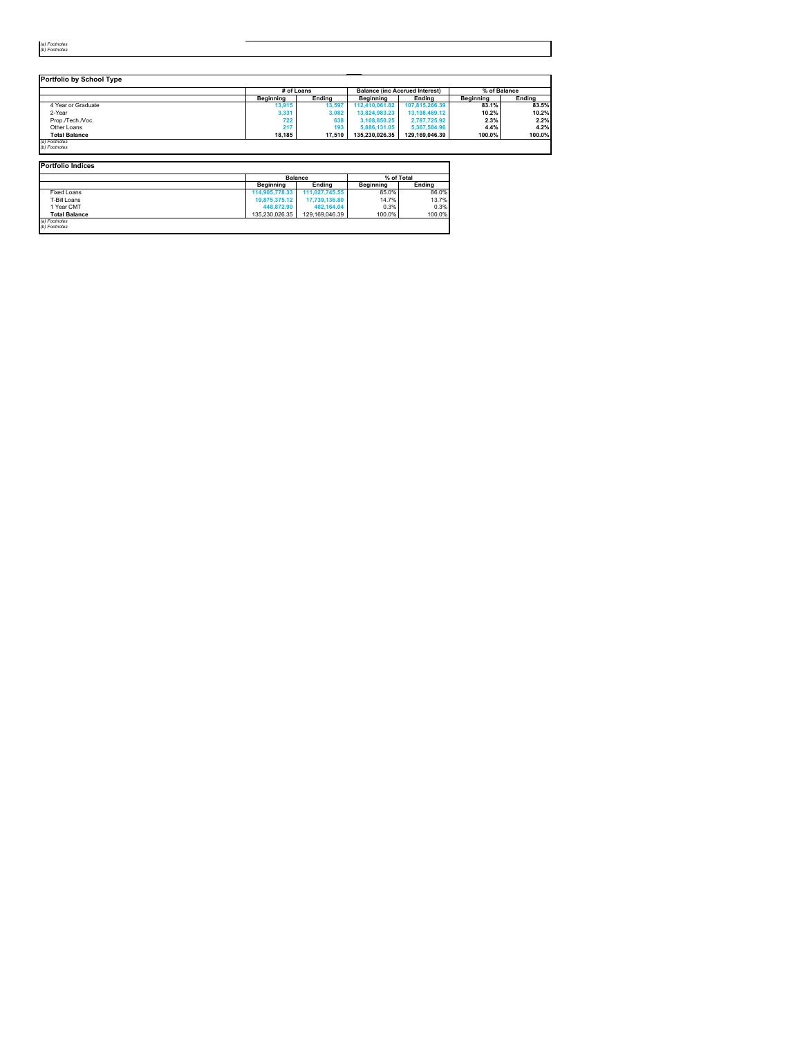| (a) Footnotes |
|---------------|
| (b) Footnotes |

|                      | # of Loans |        |                | <b>Balance (inc Accrued Interest)</b> | % of Balance |               |
|----------------------|------------|--------|----------------|---------------------------------------|--------------|---------------|
|                      | Beainnina  | Endina | Beainnina      | Endina                                | Beainnina    | <b>Ending</b> |
| 4 Year or Graduate   | 13.915     | 13.597 | 112.410.061.82 | 107.815.266.39                        | 83.1%        | 83.5%         |
| 2-Year               | 3,331      | 3,082  | 13.824.983.23  | 13.198.469.12                         | 10.2%        | 10.2%         |
| Prop./Tech./Voc.     | 722        | 638    | 3.108.850.25   | 2,787,725.92                          | 2.3%         | 2.2%          |
| Other Loans          | 217        | 193    | 5,886,131,05   | 5.367.584.96                          | 4.4%         | 4.2%          |
| <b>Total Balance</b> | 18.185     | 17.510 | 135.230.026.35 | 129.169.046.39                        | 100.0%       | 100.0%        |

| <b>Portfolio Indices</b> |                  |                |                  |            |  |
|--------------------------|------------------|----------------|------------------|------------|--|
|                          |                  | <b>Balance</b> |                  | % of Total |  |
|                          | <b>Beainning</b> | Endina         | <b>Beainning</b> | Endina     |  |
| <b>Fixed Loans</b>       | 114,905,778,33   | 111.027.745.55 | 85.0%            | 86.0%      |  |
| T-Bill Loans             | 19,875,375,12    | 17.739.136.80  | 14.7%            | 13.7%      |  |
| 1 Year CMT               | 448,872.90       | 402.164.04     | 0.3%             | 0.3%       |  |
| <b>Total Balance</b>     | 135.230.026.35   | 129.169.046.39 | 100.0%           | 100.0%     |  |
| (a) Footnotes            |                  |                |                  |            |  |
| (b) Footnotes            |                  |                |                  |            |  |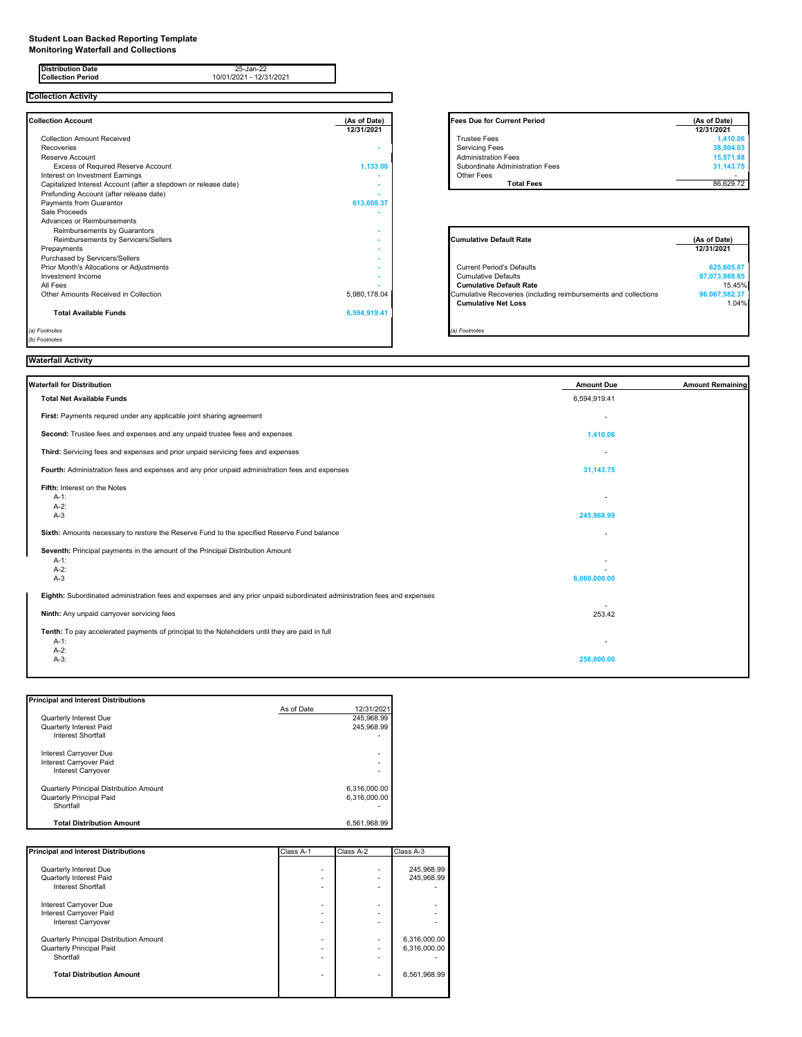#### **Student Loan Backed Reporting Template**

**Monitoring Waterfall and Collections**

| <b>Distribution Date</b><br>25-Jan-22<br>10/01/2021 - 12/31/2021<br><b>Collection Period</b> |                            |                                                                 |                            |
|----------------------------------------------------------------------------------------------|----------------------------|-----------------------------------------------------------------|----------------------------|
| <b>Collection Activity</b>                                                                   |                            |                                                                 |                            |
| <b>Collection Account</b>                                                                    | (As of Date)<br>12/31/2021 | <b>Fees Due for Current Period</b>                              | (As of Date)<br>12/31/2021 |
| <b>Collection Amount Received</b>                                                            |                            | <b>Trustee Fees</b>                                             | 1.410.06                   |
| Recoveries                                                                                   |                            | <b>Servicing Fees</b>                                           | 38.504.03                  |
| Reserve Account                                                                              |                            | <b>Administration Fees</b>                                      | 15,571.88                  |
| Excess of Required Reserve Account                                                           | 1,133.00                   | Subordinate Administration Fees                                 | 31,143.75                  |
| Interest on Investment Earnings                                                              |                            | Other Fees                                                      |                            |
| Capitalized Interest Account (after a stepdown or release date)                              |                            | <b>Total Fees</b>                                               | 86,629.72                  |
| Prefunding Account (after release date)                                                      |                            |                                                                 |                            |
| Payments from Guarantor                                                                      | 613,608.37                 |                                                                 |                            |
| Sale Proceeds                                                                                |                            |                                                                 |                            |
| Advances or Reimbursements                                                                   |                            |                                                                 |                            |
| Reimbursements by Guarantors                                                                 |                            |                                                                 |                            |
| Reimbursements by Servicers/Sellers                                                          |                            | <b>Cumulative Default Rate</b>                                  | (As of Date)               |
| Prepayments                                                                                  |                            |                                                                 | 12/31/2021                 |
| Purchased by Servicers/Sellers                                                               |                            |                                                                 |                            |
| Prior Month's Allocations or Adjustments                                                     |                            | <b>Current Period's Defaults</b>                                | 625,605.87                 |
| Investment Income                                                                            |                            | <b>Cumulative Defaults</b>                                      | 97,073,988.85              |
| All Fees                                                                                     |                            | <b>Cumulative Default Rate</b>                                  | 15.45%                     |
| Other Amounts Received in Collection                                                         | 5,980,178.04               | Cumulative Recoveries (including reimbursements and collections | 96,067,582.37              |
|                                                                                              |                            | <b>Cumulative Net Loss</b>                                      | 1.04%                      |
| <b>Total Available Funds</b>                                                                 | 6,594,919.41               |                                                                 |                            |
| (a) Footnotes                                                                                |                            | (a) Footnotes                                                   |                            |
| (b) Footnotes                                                                                |                            |                                                                 |                            |

| As of Date) | <b>Fees Due for Current Period</b> | (As of Date) |
|-------------|------------------------------------|--------------|
| 12/31/2021  |                                    | 12/31/2021   |
|             | <b>Trustee Fees</b>                | 1.410.06     |
| ۰           | <b>Servicing Fees</b>              | 38,504.03    |
|             | <b>Administration Fees</b>         | 15,571.88    |
| 1,133.00    | Subordinate Administration Fees    | 31,143.75    |
|             | Other Fees                         |              |
|             | <b>Total Fees</b>                  | 86.629.72    |

| <b>Cumulative Default Rate</b>                                  | (As of Date)  |
|-----------------------------------------------------------------|---------------|
|                                                                 | 12/31/2021    |
| <b>Current Period's Defaults</b>                                | 625,605.87    |
| <b>Cumulative Defaults</b>                                      | 97,073,988.85 |
| <b>Cumulative Default Rate</b>                                  | 15.45%        |
| Cumulative Recoveries (including reimbursements and collections | 96,067,582.37 |
| <b>Cumulative Net Loss</b>                                      | 1.04%         |
|                                                                 |               |
|                                                                 |               |
| (a) Footnotes                                                   |               |

# **Waterfall Activity**

| Waterfall for Distribution                                                                                                     | <b>Amount Due</b> | <b>Amount Remaining</b> |
|--------------------------------------------------------------------------------------------------------------------------------|-------------------|-------------------------|
| <b>Total Net Available Funds</b>                                                                                               | 6,594,919.41      |                         |
| First: Payments requred under any applicable joint sharing agreement                                                           |                   |                         |
| Second: Trustee fees and expenses and any unpaid trustee fees and expenses                                                     | 1,410.06          |                         |
| Third: Servicing fees and expenses and prior unpaid servicing fees and expenses                                                |                   |                         |
| Fourth: Administration fees and expenses and any prior unpaid administration fees and expenses                                 | 31,143.75         |                         |
| Fifth: Interest on the Notes<br>$A-1$ :<br>$A-2:$<br>$A-3$                                                                     | 245,968.99        |                         |
| Sixth: Amounts necessary to restore the Reserve Fund to the specified Reserve Fund balance                                     |                   |                         |
| Seventh: Principal payments in the amount of the Principal Distribution Amount<br>$A-1:$<br>$A-2:$<br>$A-3$                    | 6,060,000.00      |                         |
| Eighth: Subordinated administration fees and expenses and any prior unpaid subordinated administration fees and expenses       |                   |                         |
| Ninth: Any unpaid carryover servicing fees                                                                                     | 253.42            |                         |
| Tenth: To pay accelerated payments of principal to the Noteholders until they are paid in full<br>$A-1$ :<br>$A-2:$<br>$A-3$ : | 256,000.00        |                         |

| <b>Principal and Interest Distributions</b> |            |              |
|---------------------------------------------|------------|--------------|
|                                             | As of Date | 12/31/2021   |
| Quarterly Interest Due                      |            | 245.968.99   |
| Quarterly Interest Paid                     |            | 245.968.99   |
| <b>Interest Shortfall</b>                   |            |              |
| Interest Carryover Due                      |            |              |
| Interest Carryover Paid                     |            |              |
| <b>Interest Carryover</b>                   |            |              |
| Quarterly Principal Distribution Amount     |            | 6.316.000.00 |
| Quarterly Principal Paid                    |            | 6.316.000.00 |
| Shortfall                                   |            |              |
| <b>Total Distribution Amount</b>            |            | 6.561.968.99 |

| <b>Principal and Interest Distributions</b> | Class A-1                | Class A-2                | Class A-3    |
|---------------------------------------------|--------------------------|--------------------------|--------------|
|                                             |                          |                          |              |
| Quarterly Interest Due                      | $\overline{\phantom{0}}$ | ٠                        | 245.968.99   |
| Quarterly Interest Paid                     |                          | $\overline{\phantom{0}}$ | 245,968.99   |
| <b>Interest Shortfall</b>                   |                          | ۰                        |              |
| Interest Carryover Due                      | $\overline{\phantom{0}}$ | $\overline{\phantom{0}}$ |              |
| Interest Carryover Paid                     |                          | $\overline{\phantom{0}}$ |              |
| <b>Interest Carryover</b>                   |                          | ۰                        |              |
| Quarterly Principal Distribution Amount     |                          | ٠                        | 6,316,000.00 |
| Quarterly Principal Paid                    |                          | $\overline{\phantom{0}}$ | 6,316,000.00 |
| Shortfall                                   |                          | ٠                        |              |
| <b>Total Distribution Amount</b>            |                          | ۰                        | 6,561,968.99 |
|                                             |                          |                          |              |